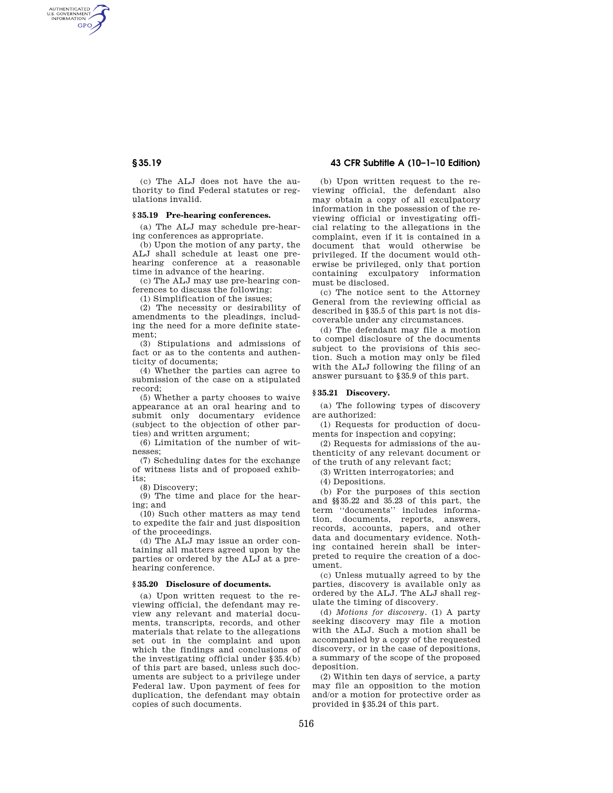AUTHENTICATED<br>U.S. GOVERNMENT<br>INFORMATION GPO

> (c) The ALJ does not have the authority to find Federal statutes or regulations invalid.

# **§ 35.19 Pre-hearing conferences.**

(a) The ALJ may schedule pre-hearing conferences as appropriate.

(b) Upon the motion of any party, the ALJ shall schedule at least one prehearing conference at a reasonable time in advance of the hearing.

(c) The ALJ may use pre-hearing conferences to discuss the following:

(1) Simplification of the issues;

(2) The necessity or desirability of amendments to the pleadings, including the need for a more definite statement;

(3) Stipulations and admissions of fact or as to the contents and authenticity of documents;

(4) Whether the parties can agree to submission of the case on a stipulated record;

(5) Whether a party chooses to waive appearance at an oral hearing and to submit only documentary evidence (subject to the objection of other parties) and written argument;

(6) Limitation of the number of witnesses;

(7) Scheduling dates for the exchange of witness lists and of proposed exhibits;

(8) Discovery;

(9) The time and place for the hearing; and

(10) Such other matters as may tend to expedite the fair and just disposition of the proceedings.

(d) The ALJ may issue an order containing all matters agreed upon by the parties or ordered by the ALJ at a prehearing conference.

## **§ 35.20 Disclosure of documents.**

(a) Upon written request to the reviewing official, the defendant may review any relevant and material documents, transcripts, records, and other materials that relate to the allegations set out in the complaint and upon which the findings and conclusions of the investigating official under §35.4(b) of this part are based, unless such documents are subject to a privilege under Federal law. Upon payment of fees for duplication, the defendant may obtain copies of such documents.

# **§ 35.19 43 CFR Subtitle A (10–1–10 Edition)**

(b) Upon written request to the reviewing official, the defendant also may obtain a copy of all exculpatory information in the possession of the reviewing official or investigating official relating to the allegations in the complaint, even if it is contained in a document that would otherwise be privileged. If the document would otherwise be privileged, only that portion containing exculpatory information must be disclosed.

(c) The notice sent to the Attorney General from the reviewing official as described in §35.5 of this part is not discoverable under any circumstances.

(d) The defendant may file a motion to compel disclosure of the documents subject to the provisions of this section. Such a motion may only be filed with the ALJ following the filing of an answer pursuant to §35.9 of this part.

## **§ 35.21 Discovery.**

(a) The following types of discovery are authorized:

(1) Requests for production of documents for inspection and copying;

(2) Requests for admissions of the authenticity of any relevant document or of the truth of any relevant fact;

(3) Written interrogatories; and

(4) Depositions.

(b) For the purposes of this section and §§35.22 and 35.23 of this part, the term ''documents'' includes information, documents, reports, answers, records, accounts, papers, and other data and documentary evidence. Nothing contained herein shall be interpreted to require the creation of a document.

(c) Unless mutually agreed to by the parties, discovery is available only as ordered by the ALJ. The ALJ shall regulate the timing of discovery.

(d) *Motions for discovery.* (1) A party seeking discovery may file a motion with the ALJ. Such a motion shall be accompanied by a copy of the requested discovery, or in the case of depositions, a summary of the scope of the proposed deposition.

(2) Within ten days of service, a party may file an opposition to the motion and/or a motion for protective order as provided in §35.24 of this part.